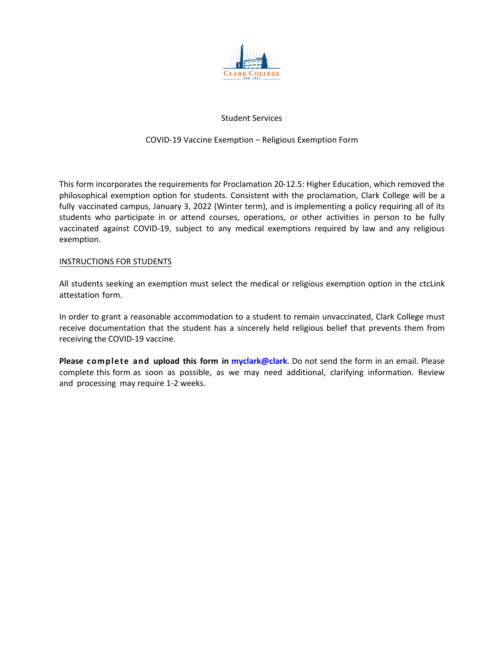

# Student Services

## COVID-19 Vaccine Exemption – Religious Exemption Form

This form incorporates the requirements for Proclamation 20-12.5: Higher Education, which removed the philosophical exemption option for students. Consistent with the proclamation, Clark College will be a fully vaccinated campus, January 3, 2022 (Winter term), and is implementing a policy requiring all of its students who participate in or attend courses, operations, or other activities in person to be fully vaccinated against COVID-19, subject to any medical exemptions required by law and any religious exemption.

#### INSTRUCTIONS FOR STUDENTS

All students seeking an exemption must select the medical or religious exemption option in the ctcLink attestation form.

In order to grant a reasonable accommodation to a student to remain unvaccinated, Clark College must receive documentation that the student has a sincerely held religious belief that prevents them from receiving the COVID-19 vaccine.

**Please complete and upload this form in [myclark@clark](https://www.clark.edu/current-students/)**. Do not send the form in an email. Please complete this form as soon as possible, as we may need additional, clarifying information. Review and processing may require 1-2 weeks.